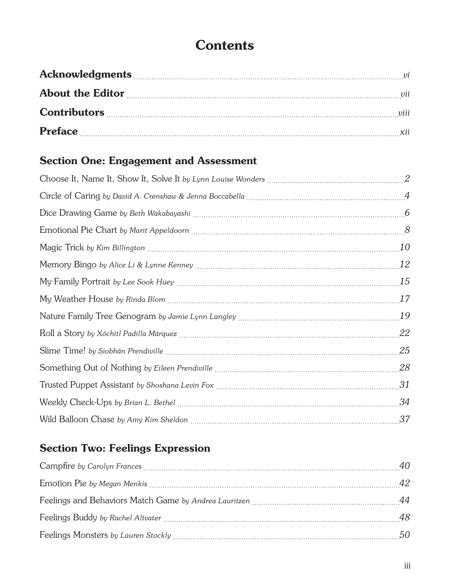# **Contents**

| About the Editor <u>manual communications</u> and the Editor will be seen that the Editor manual contract and the set of the set of the set of the set of the set of the set of the set of the set of the set of the set of the set |  |
|-------------------------------------------------------------------------------------------------------------------------------------------------------------------------------------------------------------------------------------|--|
| Contributors will be a set of the contributors will be a set of the contributors will be a set of the contributors will be a set of the contributors will be a set of the contributors will be a set of the contributors will       |  |
| <b>Preface</b>                                                                                                                                                                                                                      |  |

### Section One: Engagement and Assessment

| 10 |
|----|
| 12 |
| 15 |
| 17 |
| 19 |
| 22 |
| 25 |
| 28 |
| 31 |
| 34 |
|    |

### Section Two: Feelings Expression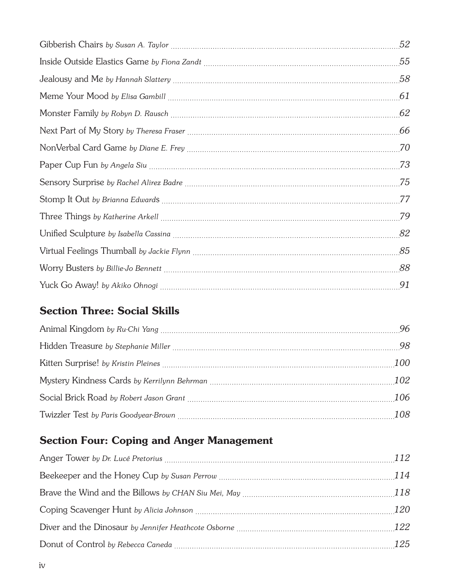| 52 |
|----|
|    |
|    |
|    |
| 62 |
| 66 |
| 70 |
| 73 |
| 75 |
| 77 |
| 79 |
|    |
|    |
|    |
| 91 |

#### Section Three: Social Skills

## Section Four: Coping and Anger Management